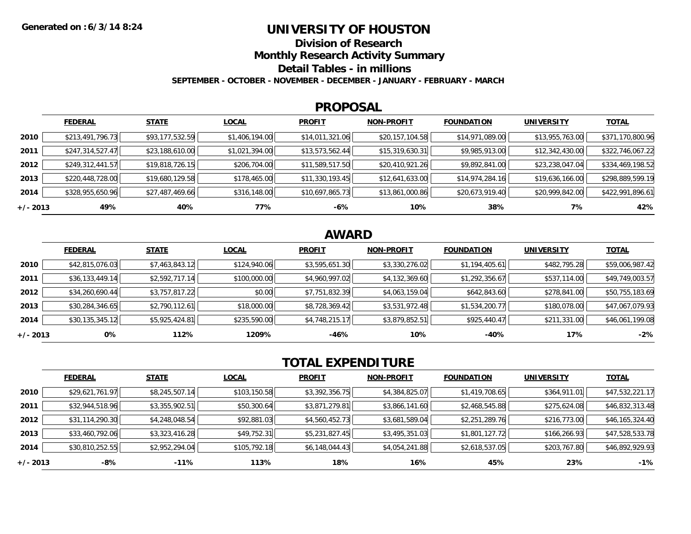### **UNIVERSITY OF HOUSTON**

**Division of Research**

**Monthly Research Activity Summary**

**Detail Tables - in millions**

**SEPTEMBER - OCTOBER - NOVEMBER - DECEMBER - JANUARY - FEBRUARY - MARCH**

#### **PROPOSAL**

|            | <b>FEDERAL</b>   | <b>STATE</b>    | <b>LOCAL</b>   | <b>PROFIT</b>   | <b>NON-PROFIT</b> | <b>FOUNDATION</b> | <b>UNIVERSITY</b> | <b>TOTAL</b>     |
|------------|------------------|-----------------|----------------|-----------------|-------------------|-------------------|-------------------|------------------|
| 2010       | \$213,491,796.73 | \$93,177,532.59 | \$1,406,194.00 | \$14,011,321.06 | \$20,157,104.58   | \$14,971,089.00   | \$13,955,763.00   | \$371,170,800.96 |
| 2011       | \$247,314,527.47 | \$23,188,610.00 | \$1,021,394.00 | \$13,573,562.44 | \$15,319,630.31   | \$9,985,913.00    | \$12,342,430.00   | \$322,746,067.22 |
| 2012       | \$249,312,441.57 | \$19,818,726.15 | \$206,704.00   | \$11,589,517.50 | \$20,410,921.26   | \$9,892,841.00    | \$23,238,047.04   | \$334,469,198.52 |
| 2013       | \$220,448,728.00 | \$19,680,129.58 | \$178,465.00   | \$11,330,193.45 | \$12,641,633.00   | \$14,974,284.16   | \$19,636,166.00   | \$298,889,599.19 |
| 2014       | \$328,955,650.96 | \$27,487,469.66 | \$316,148.00   | \$10,697,865.73 | \$13,861,000.86   | \$20,673,919.40   | \$20,999,842.00   | \$422,991,896.61 |
| $+/- 2013$ | 49%              | 40%             | 77%            | -6%             | 10%               | 38%               | 7%                | 42%              |

# **AWARD**

|            | <b>FEDERAL</b>  | <b>STATE</b>   | <b>LOCAL</b> | <b>PROFIT</b>  | <b>NON-PROFIT</b> | <b>FOUNDATION</b> | <b>UNIVERSITY</b> | <u>TOTAL</u>    |
|------------|-----------------|----------------|--------------|----------------|-------------------|-------------------|-------------------|-----------------|
| 2010       | \$42,815,076.03 | \$7,463,843.12 | \$124,940.06 | \$3,595,651.30 | \$3,330,276.02    | \$1,194,405.61    | \$482,795.28      | \$59,006,987.42 |
| 2011       | \$36,133,449.14 | \$2,592,717.14 | \$100,000.00 | \$4,960,997.02 | \$4,132,369.60    | \$1,292,356.67    | \$537,114.00      | \$49,749,003.57 |
| 2012       | \$34,260,690.44 | \$3,757,817.22 | \$0.00       | \$7,751,832.39 | \$4,063,159.04    | \$642,843.60      | \$278,841.00      | \$50,755,183.69 |
| 2013       | \$30,284,346.65 | \$2,790,112.61 | \$18,000.00  | \$8,728,369.42 | \$3,531,972.48    | \$1,534,200.77    | \$180,078.00      | \$47,067,079.93 |
| 2014       | \$30,135,345.12 | \$5,925,424.81 | \$235,590.00 | \$4,748,215.17 | \$3,879,852.51    | \$925,440.47      | \$211,331.00      | \$46,061,199.08 |
| $+/- 2013$ | 0%              | 112%           | 1209%        | $-46%$         | 10%               | -40%              | 17%               | $-2%$           |

# **TOTAL EXPENDITURE**

|          | <b>FEDERAL</b>  | <b>STATE</b>   | <b>LOCAL</b> | <b>PROFIT</b>  | <b>NON-PROFIT</b> | <b>FOUNDATION</b> | <b>UNIVERSITY</b> | <b>TOTAL</b>    |
|----------|-----------------|----------------|--------------|----------------|-------------------|-------------------|-------------------|-----------------|
| 2010     | \$29,621,761.97 | \$8,245,507.14 | \$103,150.58 | \$3,392,356.75 | \$4,384,825.07    | \$1,419,708.65    | \$364,911.01      | \$47,532,221.17 |
| 2011     | \$32,944,518.96 | \$3,355,902.51 | \$50,300.64  | \$3,871,279.81 | \$3,866,141.60    | \$2,468,545.88    | \$275,624.08      | \$46,832,313.48 |
| 2012     | \$31,114,290.30 | \$4,248,048.54 | \$92,881.03  | \$4,560,452.73 | \$3,681,589.04    | \$2,251,289.76    | \$216,773.00      | \$46,165,324.40 |
| 2013     | \$33,460,792.06 | \$3,323,416.28 | \$49,752.31  | \$5,231,827.45 | \$3,495,351.03    | \$1,801,127.72    | \$166,266.93      | \$47,528,533.78 |
| 2014     | \$30,810,252.55 | \$2,952,294.04 | \$105,792.18 | \$6,148,044.43 | \$4,054,241.88    | \$2,618,537.05    | \$203,767.80      | \$46,892,929.93 |
| +/- 2013 | -8%             | $-11%$         | 113%         | 18%            | 16%               | 45%               | 23%               | $-1%$           |